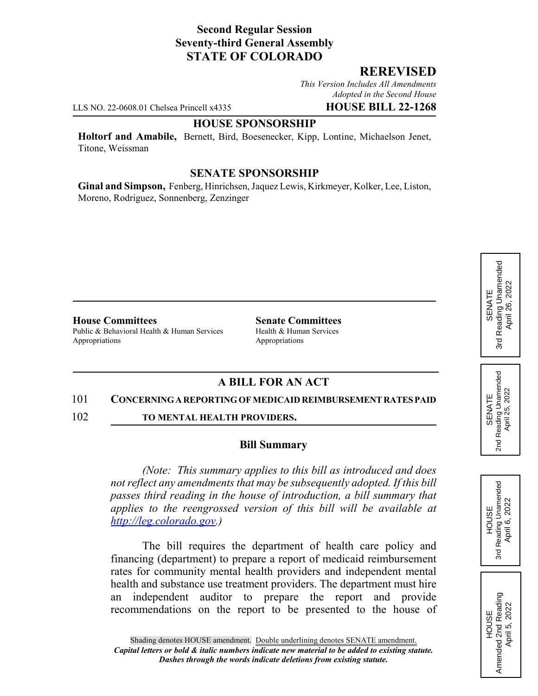## **Second Regular Session Seventy-third General Assembly STATE OF COLORADO**

## **REREVISED**

*This Version Includes All Amendments Adopted in the Second House*

LLS NO. 22-0608.01 Chelsea Princell x4335 **HOUSE BILL 22-1268**

#### **HOUSE SPONSORSHIP**

**Holtorf and Amabile,** Bernett, Bird, Boesenecker, Kipp, Lontine, Michaelson Jenet, Titone, Weissman

### **SENATE SPONSORSHIP**

**Ginal and Simpson,** Fenberg, Hinrichsen, Jaquez Lewis, Kirkmeyer, Kolker, Lee, Liston, Moreno, Rodriguez, Sonnenberg, Zenzinger

**House Committees Senate Committees** Public & Behavioral Health & Human Services Health & Human Services

Appropriations Appropriations

# **A BILL FOR AN ACT**

#### 101 **CONCERNING A REPORTING OF MEDICAID REIMBURSEMENT RATES PAID**

102 **TO MENTAL HEALTH PROVIDERS.**

#### **Bill Summary**

*(Note: This summary applies to this bill as introduced and does not reflect any amendments that may be subsequently adopted. If this bill passes third reading in the house of introduction, a bill summary that applies to the reengrossed version of this bill will be available at http://leg.colorado.gov.)*

The bill requires the department of health care policy and financing (department) to prepare a report of medicaid reimbursement rates for community mental health providers and independent mental health and substance use treatment providers. The department must hire an independent auditor to prepare the report and provide recommendations on the report to be presented to the house of





HOUSE<br>Amended 2nd Reading<br>April 5, 2022 Amended 2nd Reading April 5, 2022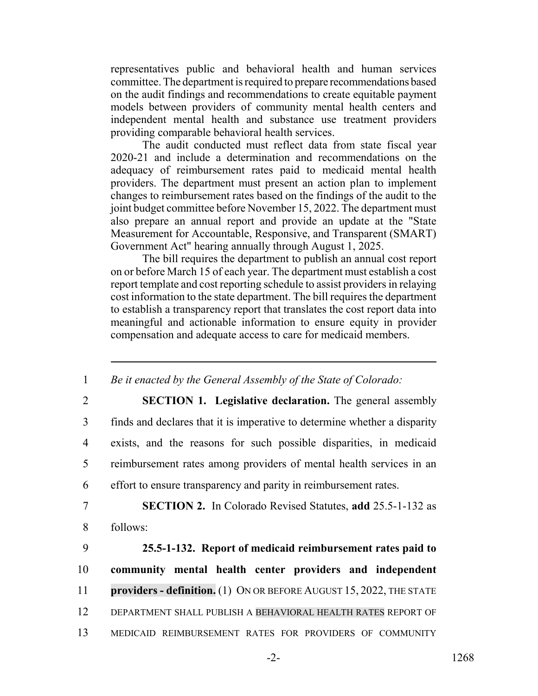representatives public and behavioral health and human services committee. The department is required to prepare recommendations based on the audit findings and recommendations to create equitable payment models between providers of community mental health centers and independent mental health and substance use treatment providers providing comparable behavioral health services.

The audit conducted must reflect data from state fiscal year 2020-21 and include a determination and recommendations on the adequacy of reimbursement rates paid to medicaid mental health providers. The department must present an action plan to implement changes to reimbursement rates based on the findings of the audit to the joint budget committee before November 15, 2022. The department must also prepare an annual report and provide an update at the "State Measurement for Accountable, Responsive, and Transparent (SMART) Government Act" hearing annually through August 1, 2025.

The bill requires the department to publish an annual cost report on or before March 15 of each year. The department must establish a cost report template and cost reporting schedule to assist providers in relaying cost information to the state department. The bill requires the department to establish a transparency report that translates the cost report data into meaningful and actionable information to ensure equity in provider compensation and adequate access to care for medicaid members.

1 *Be it enacted by the General Assembly of the State of Colorado:*

 **SECTION 1. Legislative declaration.** The general assembly finds and declares that it is imperative to determine whether a disparity exists, and the reasons for such possible disparities, in medicaid reimbursement rates among providers of mental health services in an effort to ensure transparency and parity in reimbursement rates.

7 **SECTION 2.** In Colorado Revised Statutes, **add** 25.5-1-132 as 8 follows:

 **25.5-1-132. Report of medicaid reimbursement rates paid to community mental health center providers and independent providers - definition.** (1) ON OR BEFORE AUGUST 15, 2022, THE STATE DEPARTMENT SHALL PUBLISH A BEHAVIORAL HEALTH RATES REPORT OF MEDICAID REIMBURSEMENT RATES FOR PROVIDERS OF COMMUNITY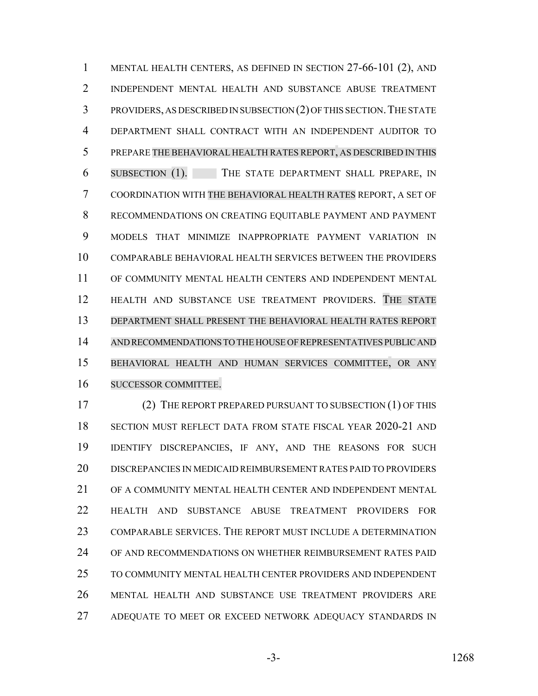MENTAL HEALTH CENTERS, AS DEFINED IN SECTION 27-66-101 (2), AND INDEPENDENT MENTAL HEALTH AND SUBSTANCE ABUSE TREATMENT PROVIDERS, AS DESCRIBED IN SUBSECTION (2) OF THIS SECTION.THE STATE DEPARTMENT SHALL CONTRACT WITH AN INDEPENDENT AUDITOR TO PREPARE THE BEHAVIORAL HEALTH RATES REPORT, AS DESCRIBED IN THIS SUBSECTION (1). THE STATE DEPARTMENT SHALL PREPARE, IN COORDINATION WITH THE BEHAVIORAL HEALTH RATES REPORT, A SET OF RECOMMENDATIONS ON CREATING EQUITABLE PAYMENT AND PAYMENT MODELS THAT MINIMIZE INAPPROPRIATE PAYMENT VARIATION IN COMPARABLE BEHAVIORAL HEALTH SERVICES BETWEEN THE PROVIDERS OF COMMUNITY MENTAL HEALTH CENTERS AND INDEPENDENT MENTAL HEALTH AND SUBSTANCE USE TREATMENT PROVIDERS. THE STATE DEPARTMENT SHALL PRESENT THE BEHAVIORAL HEALTH RATES REPORT AND RECOMMENDATIONS TO THE HOUSE OF REPRESENTATIVES PUBLIC AND BEHAVIORAL HEALTH AND HUMAN SERVICES COMMITTEE, OR ANY SUCCESSOR COMMITTEE.

 (2) THE REPORT PREPARED PURSUANT TO SUBSECTION (1) OF THIS SECTION MUST REFLECT DATA FROM STATE FISCAL YEAR 2020-21 AND IDENTIFY DISCREPANCIES, IF ANY, AND THE REASONS FOR SUCH DISCREPANCIES IN MEDICAID REIMBURSEMENT RATES PAID TO PROVIDERS OF A COMMUNITY MENTAL HEALTH CENTER AND INDEPENDENT MENTAL HEALTH AND SUBSTANCE ABUSE TREATMENT PROVIDERS FOR COMPARABLE SERVICES. THE REPORT MUST INCLUDE A DETERMINATION OF AND RECOMMENDATIONS ON WHETHER REIMBURSEMENT RATES PAID TO COMMUNITY MENTAL HEALTH CENTER PROVIDERS AND INDEPENDENT MENTAL HEALTH AND SUBSTANCE USE TREATMENT PROVIDERS ARE ADEQUATE TO MEET OR EXCEED NETWORK ADEQUACY STANDARDS IN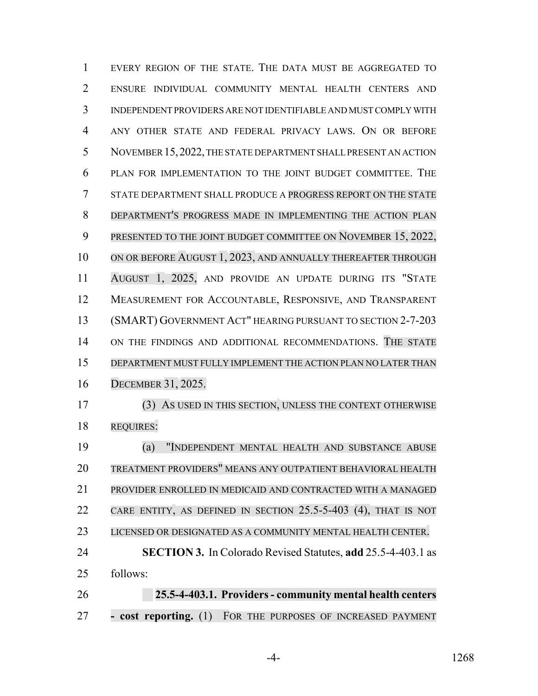EVERY REGION OF THE STATE. THE DATA MUST BE AGGREGATED TO ENSURE INDIVIDUAL COMMUNITY MENTAL HEALTH CENTERS AND INDEPENDENT PROVIDERS ARE NOT IDENTIFIABLE AND MUST COMPLY WITH ANY OTHER STATE AND FEDERAL PRIVACY LAWS. ON OR BEFORE NOVEMBER 15,2022, THE STATE DEPARTMENT SHALL PRESENT AN ACTION PLAN FOR IMPLEMENTATION TO THE JOINT BUDGET COMMITTEE. THE STATE DEPARTMENT SHALL PRODUCE A PROGRESS REPORT ON THE STATE DEPARTMENT'S PROGRESS MADE IN IMPLEMENTING THE ACTION PLAN 9 PRESENTED TO THE JOINT BUDGET COMMITTEE ON NOVEMBER 15, 2022, 10 ON OR BEFORE AUGUST 1, 2023, AND ANNUALLY THEREAFTER THROUGH AUGUST 1, 2025, AND PROVIDE AN UPDATE DURING ITS "STATE MEASUREMENT FOR ACCOUNTABLE, RESPONSIVE, AND TRANSPARENT (SMART) GOVERNMENT ACT" HEARING PURSUANT TO SECTION 2-7-203 14 ON THE FINDINGS AND ADDITIONAL RECOMMENDATIONS. THE STATE DEPARTMENT MUST FULLY IMPLEMENT THE ACTION PLAN NO LATER THAN DECEMBER 31, 2025. (3) AS USED IN THIS SECTION, UNLESS THE CONTEXT OTHERWISE REQUIRES: (a) "INDEPENDENT MENTAL HEALTH AND SUBSTANCE ABUSE TREATMENT PROVIDERS" MEANS ANY OUTPATIENT BEHAVIORAL HEALTH PROVIDER ENROLLED IN MEDICAID AND CONTRACTED WITH A MANAGED CARE ENTITY, AS DEFINED IN SECTION 25.5-5-403 (4), THAT IS NOT LICENSED OR DESIGNATED AS A COMMUNITY MENTAL HEALTH CENTER.

 **SECTION 3.** In Colorado Revised Statutes, **add** 25.5-4-403.1 as follows:

**25.5-4-403.1. Providers - community mental health centers - cost reporting.** (1) FOR THE PURPOSES OF INCREASED PAYMENT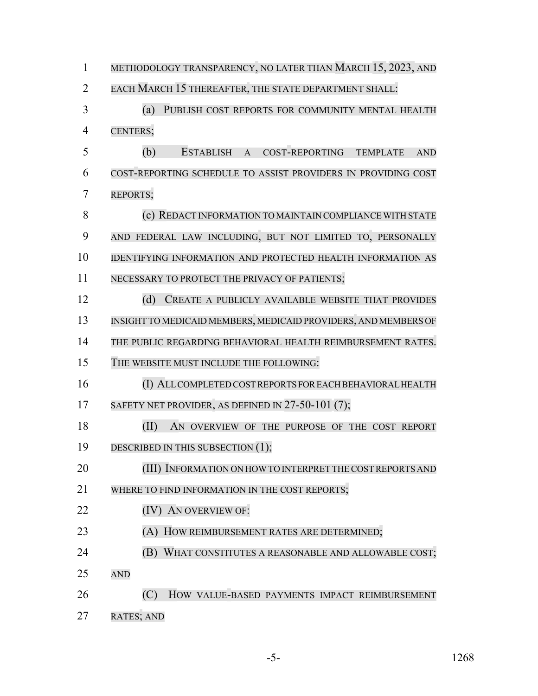1 METHODOLOGY TRANSPARENCY, NO LATER THAN MARCH 15, 2023, AND EACH MARCH 15 THEREAFTER, THE STATE DEPARTMENT SHALL: (a) PUBLISH COST REPORTS FOR COMMUNITY MENTAL HEALTH CENTERS; (b) ESTABLISH A COST-REPORTING TEMPLATE AND COST-REPORTING SCHEDULE TO ASSIST PROVIDERS IN PROVIDING COST REPORTS; **8 (c) REDACT INFORMATION TO MAINTAIN COMPLIANCE WITH STATE**  AND FEDERAL LAW INCLUDING, BUT NOT LIMITED TO, PERSONALLY IDENTIFYING INFORMATION AND PROTECTED HEALTH INFORMATION AS NECESSARY TO PROTECT THE PRIVACY OF PATIENTS; (d) CREATE A PUBLICLY AVAILABLE WEBSITE THAT PROVIDES INSIGHT TO MEDICAID MEMBERS, MEDICAID PROVIDERS, AND MEMBERS OF THE PUBLIC REGARDING BEHAVIORAL HEALTH REIMBURSEMENT RATES. THE WEBSITE MUST INCLUDE THE FOLLOWING: (I) ALLCOMPLETEDCOSTREPORTS FOR EACH BEHAVIORAL HEALTH 17 SAFETY NET PROVIDER, AS DEFINED IN 27-50-101 (7); (II) AN OVERVIEW OF THE PURPOSE OF THE COST REPORT 19 DESCRIBED IN THIS SUBSECTION (1); 20 (III) INFORMATION ON HOW TO INTERPRET THE COST REPORTS AND 21 WHERE TO FIND INFORMATION IN THE COST REPORTS; 22 (IV) AN OVERVIEW OF: (A) HOW REIMBURSEMENT RATES ARE DETERMINED; **(B) WHAT CONSTITUTES A REASONABLE AND ALLOWABLE COST;**  AND (C) HOW VALUE-BASED PAYMENTS IMPACT REIMBURSEMENT RATES; AND